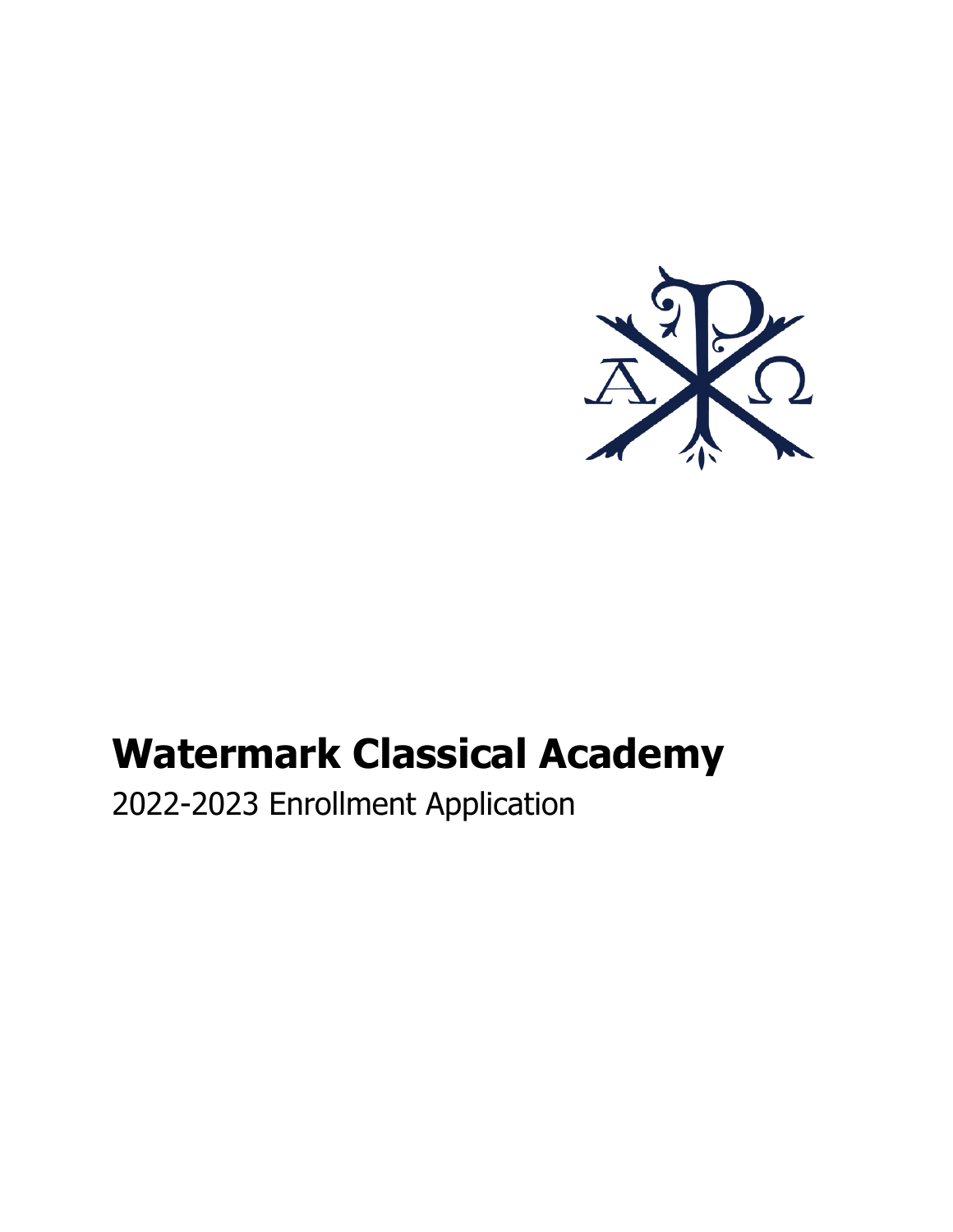

# **Watermark Classical Academy**

2022-2023 Enrollment Application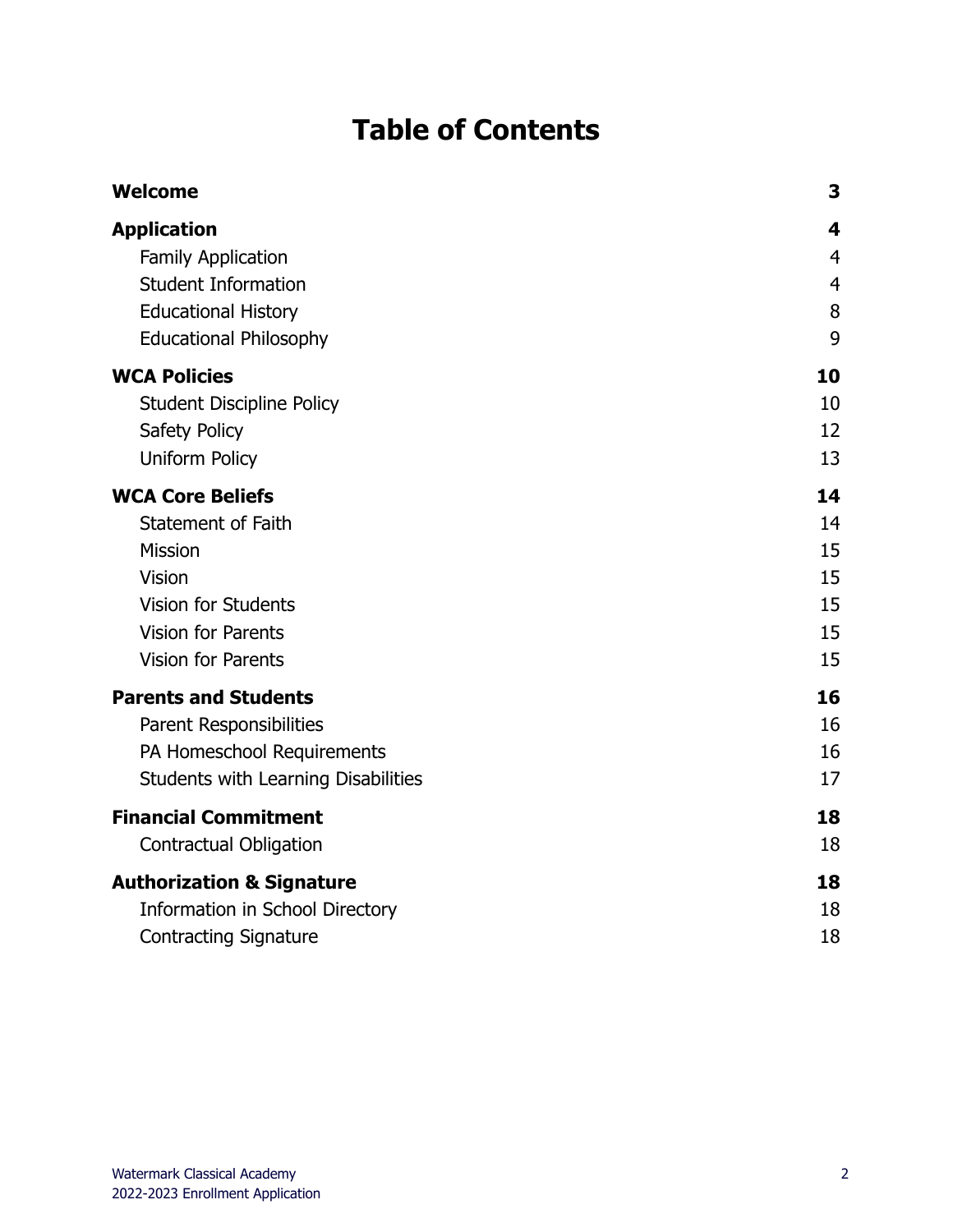### **Table of Contents**

| <b>Welcome</b>                       | 3              |
|--------------------------------------|----------------|
| <b>Application</b>                   | 4              |
| Family Application                   | $\overline{4}$ |
| <b>Student Information</b>           | 4              |
| <b>Educational History</b>           | 8              |
| <b>Educational Philosophy</b>        | 9              |
| <b>WCA Policies</b>                  | 10             |
| <b>Student Discipline Policy</b>     | 10             |
| Safety Policy                        | 12             |
| Uniform Policy                       | 13             |
| <b>WCA Core Beliefs</b>              | 14             |
| <b>Statement of Faith</b>            | 14             |
| <b>Mission</b>                       | 15             |
| <b>Vision</b>                        | 15             |
| <b>Vision for Students</b>           | 15             |
| <b>Vision for Parents</b>            | 15             |
| <b>Vision for Parents</b>            | 15             |
| <b>Parents and Students</b>          | 16             |
| Parent Responsibilities              | 16             |
| PA Homeschool Requirements           | 16             |
| Students with Learning Disabilities  | 17             |
| <b>Financial Commitment</b>          | 18             |
| <b>Contractual Obligation</b>        | 18             |
| <b>Authorization &amp; Signature</b> | 18             |
| Information in School Directory      | 18             |
| <b>Contracting Signature</b>         | 18             |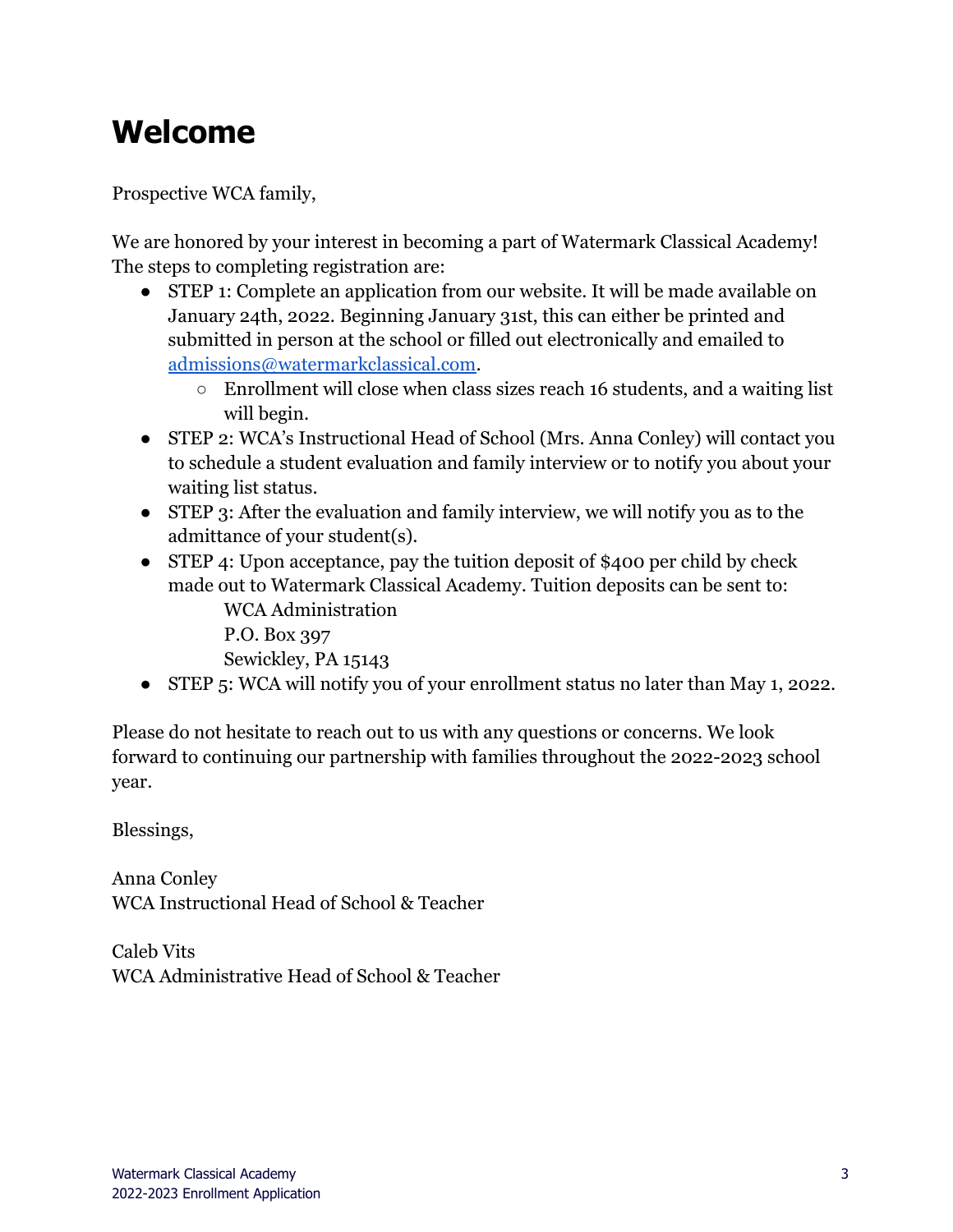# <span id="page-2-0"></span>**Welcome**

Prospective WCA family,

We are honored by your interest in becoming a part of Watermark Classical Academy! The steps to completing registration are:

- STEP 1: Complete an application from our website. It will be made available on January 24th, 2022. Beginning January 31st, this can either be printed and submitted in person at the school or filled out electronically and emailed to [admissions@watermarkclassical.com.](mailto:admissions@watermarkclassical.com)
	- Enrollment will close when class sizes reach 16 students, and a waiting list will begin.
- STEP 2: WCA's Instructional Head of School (Mrs. Anna Conley) will contact you to schedule a student evaluation and family interview or to notify you about your waiting list status.
- STEP 3: After the evaluation and family interview, we will notify you as to the admittance of your student(s).
- STEP 4: Upon acceptance, pay the tuition deposit of \$400 per child by check made out to Watermark Classical Academy. Tuition deposits can be sent to: WCA Administration
	- P.O. Box 397

Sewickley, PA 15143

● STEP 5: WCA will notify you of your enrollment status no later than May 1, 2022.

Please do not hesitate to reach out to us with any questions or concerns. We look forward to continuing our partnership with families throughout the 2022-2023 school year.

Blessings,

Anna Conley WCA Instructional Head of School & Teacher

Caleb Vits WCA Administrative Head of School & Teacher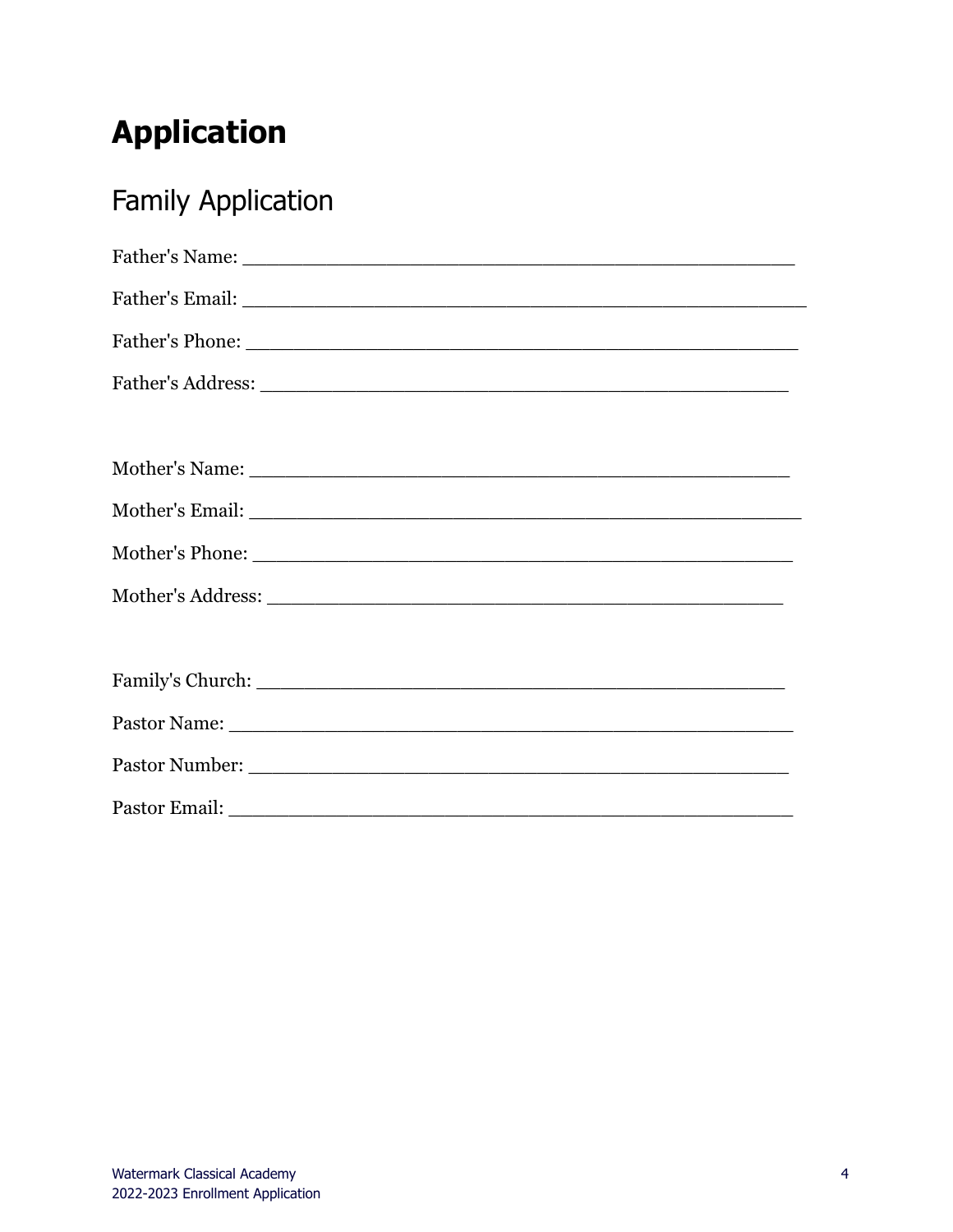# <span id="page-3-0"></span>**Application**

# <span id="page-3-1"></span>**Family Application**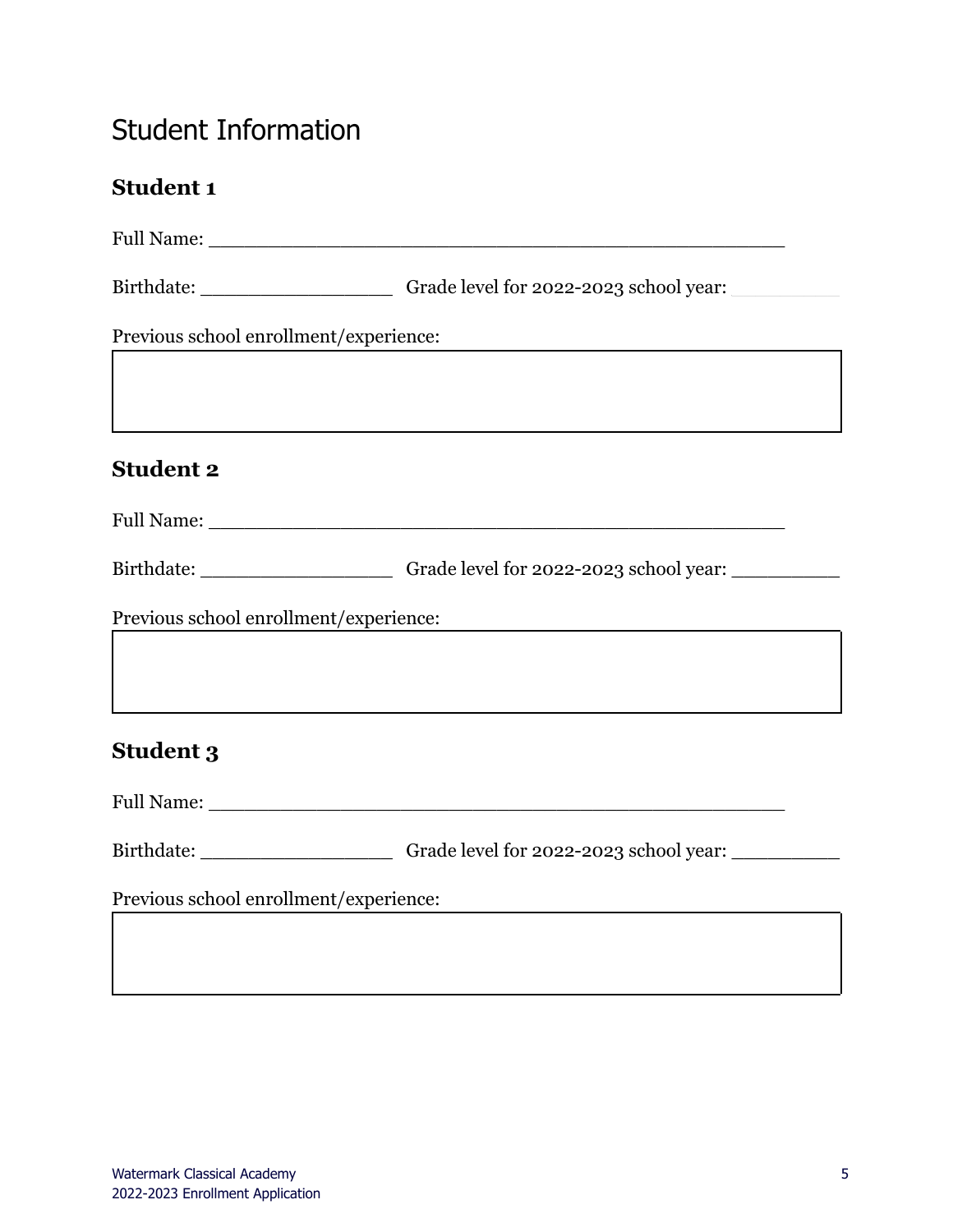### <span id="page-4-0"></span>Student Information

#### **Student 1**

|                                        | Birthdate: _____________________________Grade level for 2022-2023 school year: ____________________ |
|----------------------------------------|-----------------------------------------------------------------------------------------------------|
| Previous school enrollment/experience: |                                                                                                     |
| <b>Student 2</b>                       |                                                                                                     |
|                                        |                                                                                                     |
|                                        |                                                                                                     |
|                                        | Birthdate: ____________________________Grade level for 2022-2023 school year: _____________________ |
| Previous school enrollment/experience: |                                                                                                     |
|                                        |                                                                                                     |
| <b>Student 3</b>                       |                                                                                                     |
|                                        |                                                                                                     |
|                                        | Birthdate: _______________________________Grade level for 2022-2023 school year: __________________ |
| Previous school enrollment/experience: |                                                                                                     |
|                                        |                                                                                                     |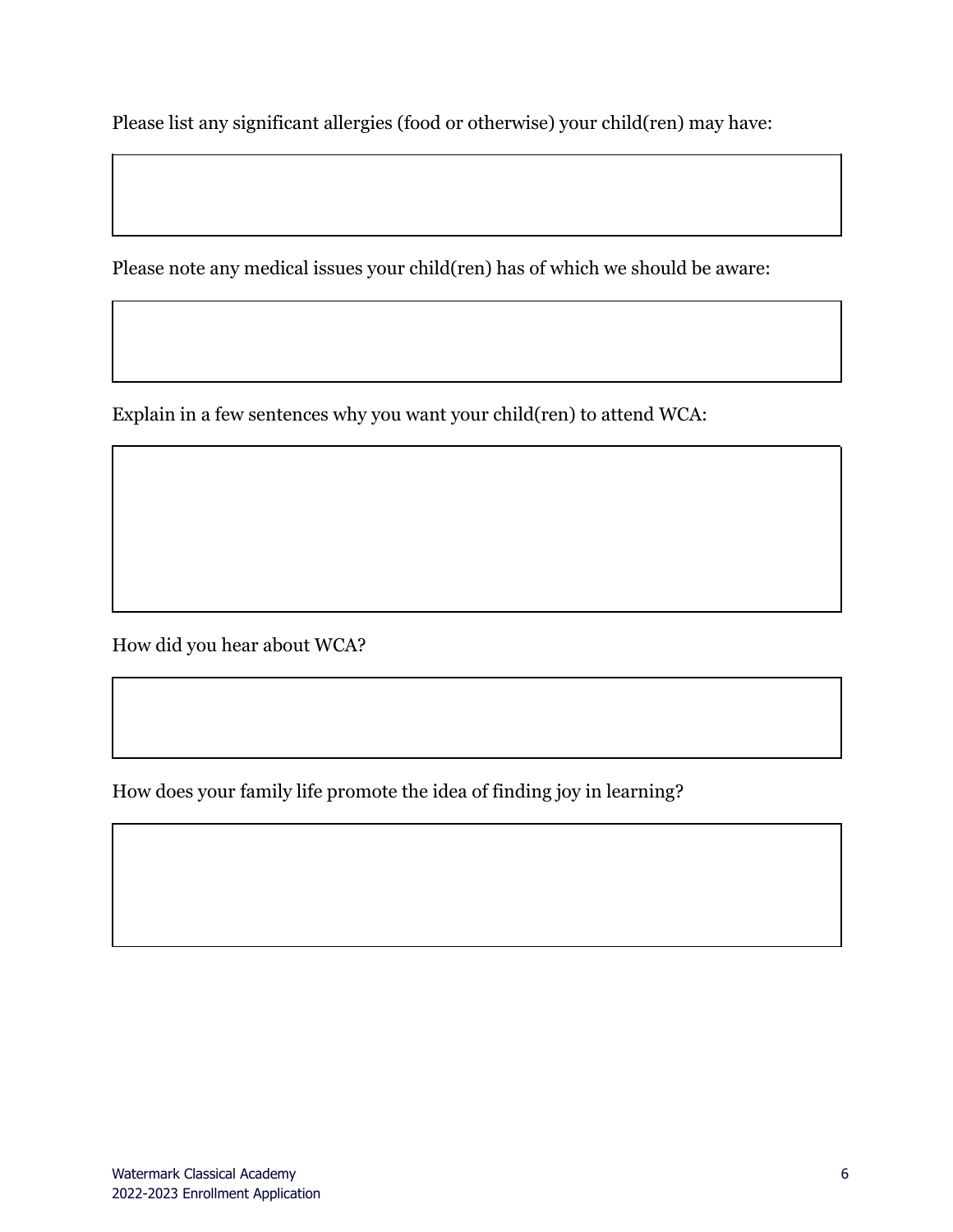Please list any significant allergies (food or otherwise) your child(ren) may have:

Please note any medical issues your child(ren) has of which we should be aware:

Explain in a few sentences why you want your child(ren) to attend WCA:

How did you hear about WCA?

How does your family life promote the idea of finding joy in learning?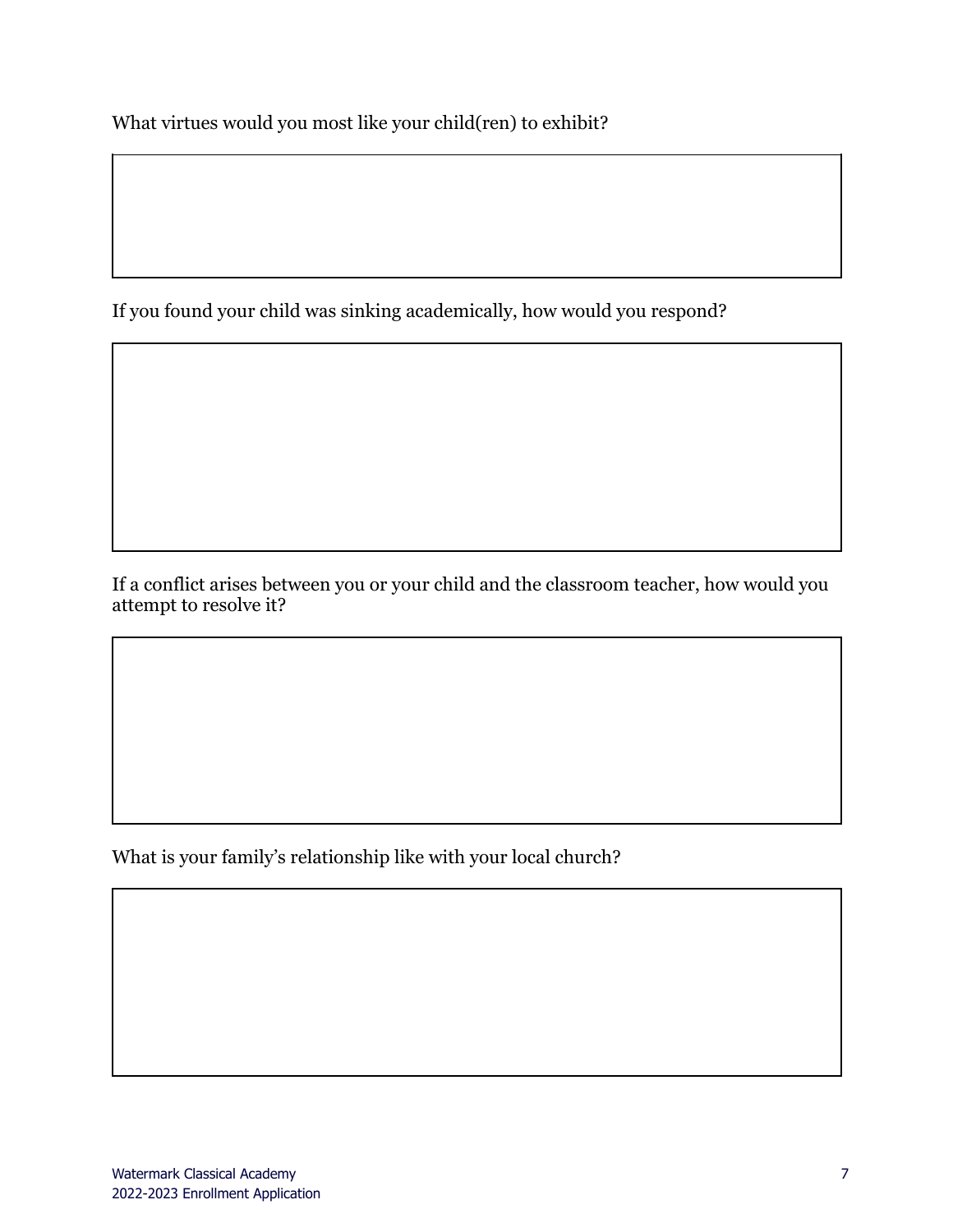What virtues would you most like your child(ren) to exhibit?

If you found your child was sinking academically, how would you respond?

If a conflict arises between you or your child and the classroom teacher, how would you attempt to resolve it?

What is your family's relationship like with your local church?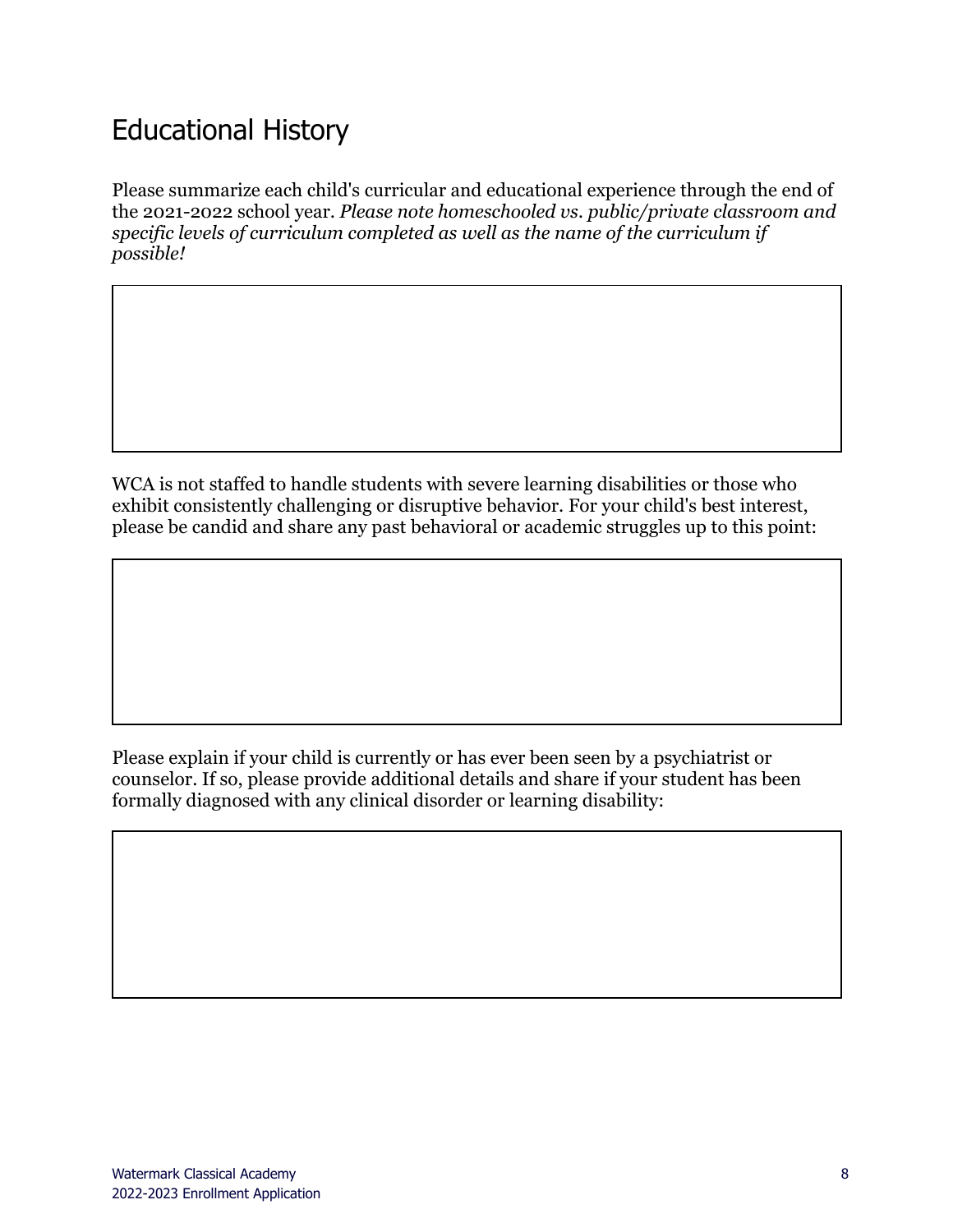#### <span id="page-7-0"></span>Educational History

Please summarize each child's curricular and educational experience through the end of the 2021-2022 school year. *Please note homeschooled vs. public/private classroom and specific levels of curriculum completed as well as the name of the curriculum if possible!*

WCA is not staffed to handle students with severe learning disabilities or those who exhibit consistently challenging or disruptive behavior. For your child's best interest, please be candid and share any past behavioral or academic struggles up to this point:

Please explain if your child is currently or has ever been seen by a psychiatrist or counselor. If so, please provide additional details and share if your student has been formally diagnosed with any clinical disorder or learning disability: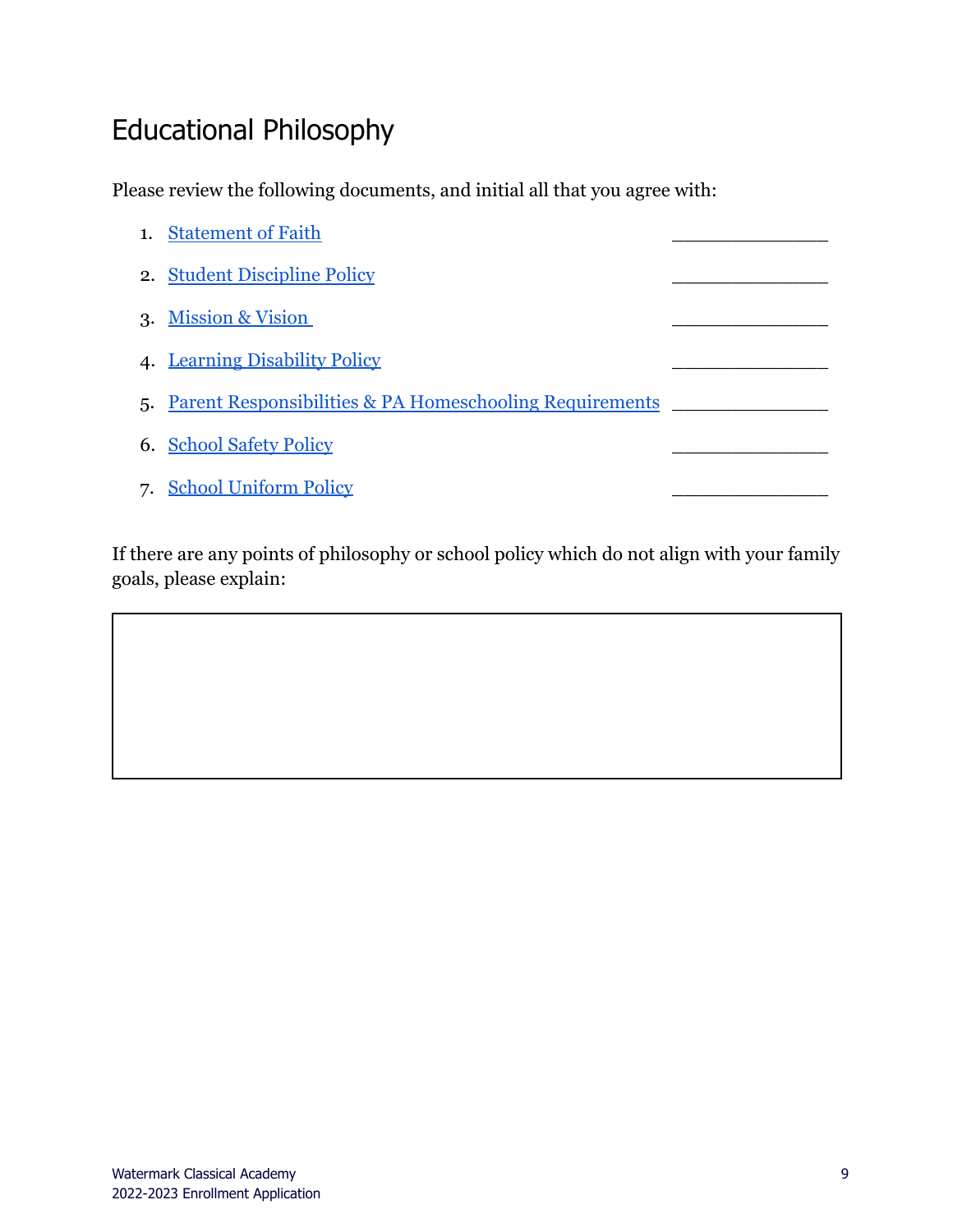#### <span id="page-8-0"></span>Educational Philosophy

Please review the following documents, and initial all that you agree with:

| <b>Statement of Faith</b>                                  |  |
|------------------------------------------------------------|--|
| 2. Student Discipline Policy                               |  |
| 3. Mission & Vision                                        |  |
| 4. Learning Disability Policy                              |  |
| 5. Parent Responsibilities & PA Homeschooling Requirements |  |
| 6. School Safety Policy                                    |  |
| <b>School Uniform Policy</b>                               |  |

If there are any points of philosophy or school policy which do not align with your family goals, please explain: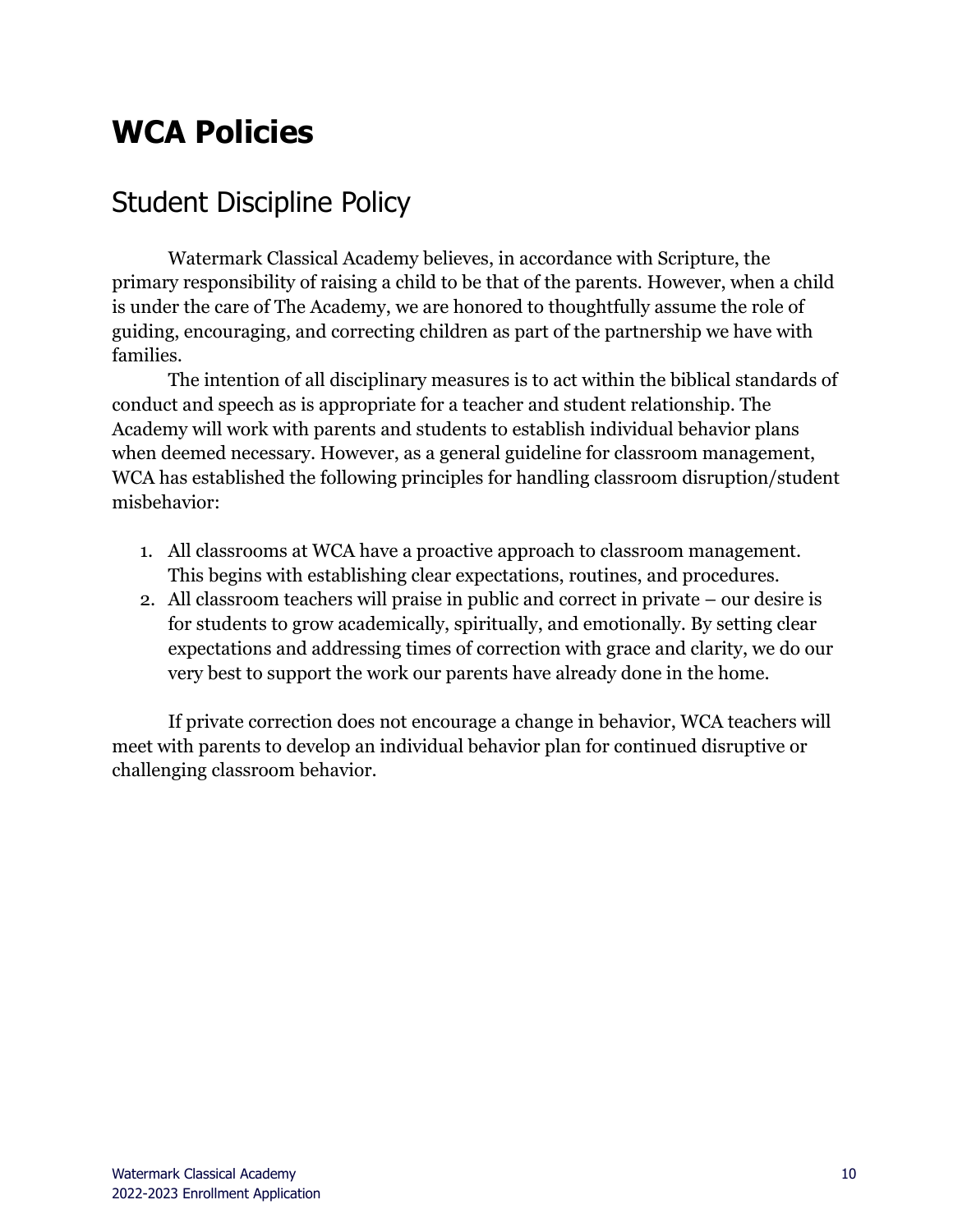### <span id="page-9-0"></span>**WCA Policies**

#### <span id="page-9-1"></span>Student Discipline Policy

Watermark Classical Academy believes, in accordance with Scripture, the primary responsibility of raising a child to be that of the parents. However, when a child is under the care of The Academy, we are honored to thoughtfully assume the role of guiding, encouraging, and correcting children as part of the partnership we have with families.

The intention of all disciplinary measures is to act within the biblical standards of conduct and speech as is appropriate for a teacher and student relationship. The Academy will work with parents and students to establish individual behavior plans when deemed necessary. However, as a general guideline for classroom management, WCA has established the following principles for handling classroom disruption/student misbehavior:

- 1. All classrooms at WCA have a proactive approach to classroom management. This begins with establishing clear expectations, routines, and procedures.
- 2. All classroom teachers will praise in public and correct in private our desire is for students to grow academically, spiritually, and emotionally. By setting clear expectations and addressing times of correction with grace and clarity, we do our very best to support the work our parents have already done in the home.

If private correction does not encourage a change in behavior, WCA teachers will meet with parents to develop an individual behavior plan for continued disruptive or challenging classroom behavior.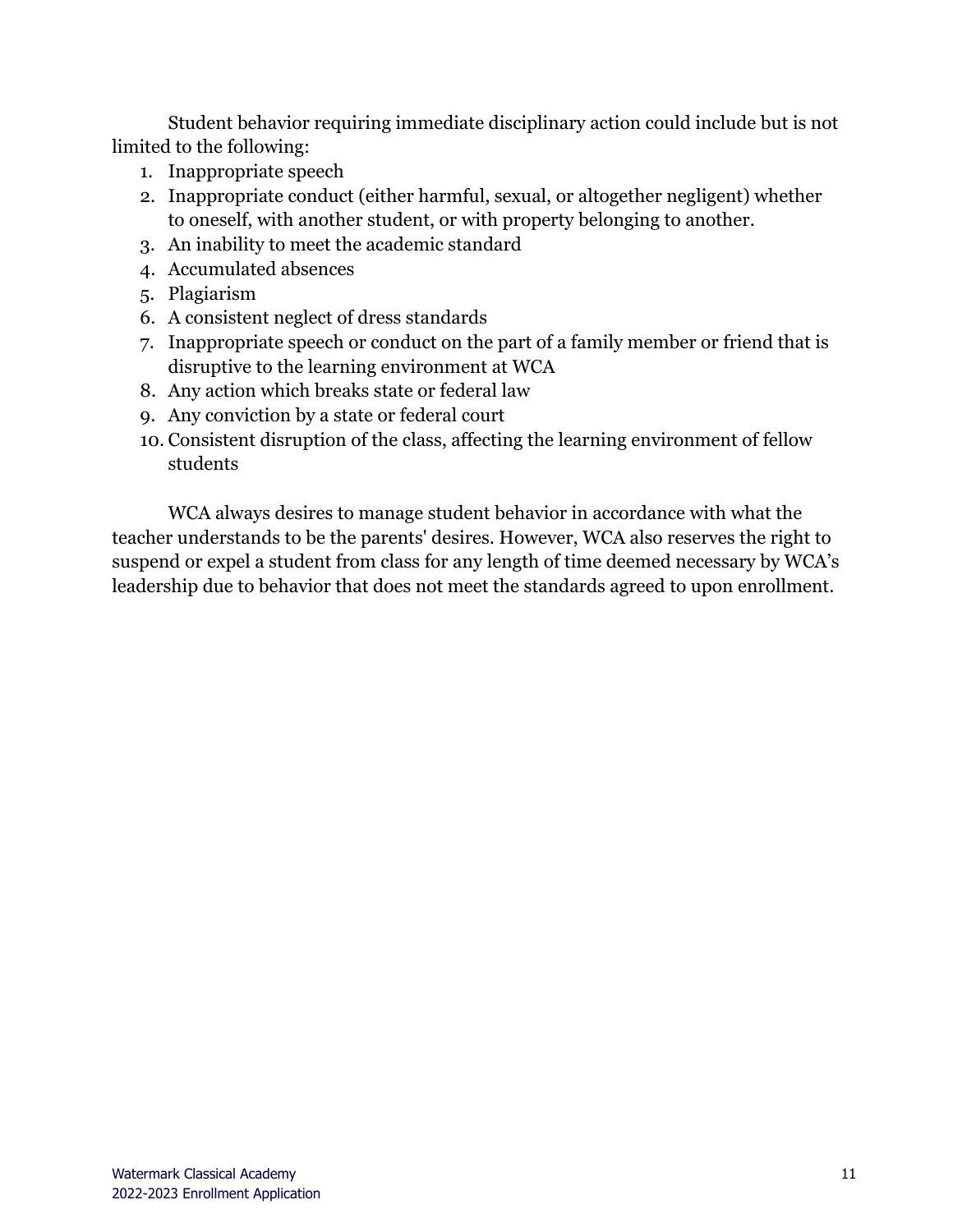Student behavior requiring immediate disciplinary action could include but is not limited to the following:

- 1. Inappropriate speech
- 2. Inappropriate conduct (either harmful, sexual, or altogether negligent) whether to oneself, with another student, or with property belonging to another.
- 3. An inability to meet the academic standard
- 4. Accumulated absences
- 5. Plagiarism
- 6. A consistent neglect of dress standards
- 7. Inappropriate speech or conduct on the part of a family member or friend that is disruptive to the learning environment at WCA
- 8. Any action which breaks state or federal law
- 9. Any conviction by a state or federal court
- 10. Consistent disruption of the class, affecting the learning environment of fellow students

WCA always desires to manage student behavior in accordance with what the teacher understands to be the parents' desires. However, WCA also reserves the right to suspend or expel a student from class for any length of time deemed necessary by WCA's leadership due to behavior that does not meet the standards agreed to upon enrollment.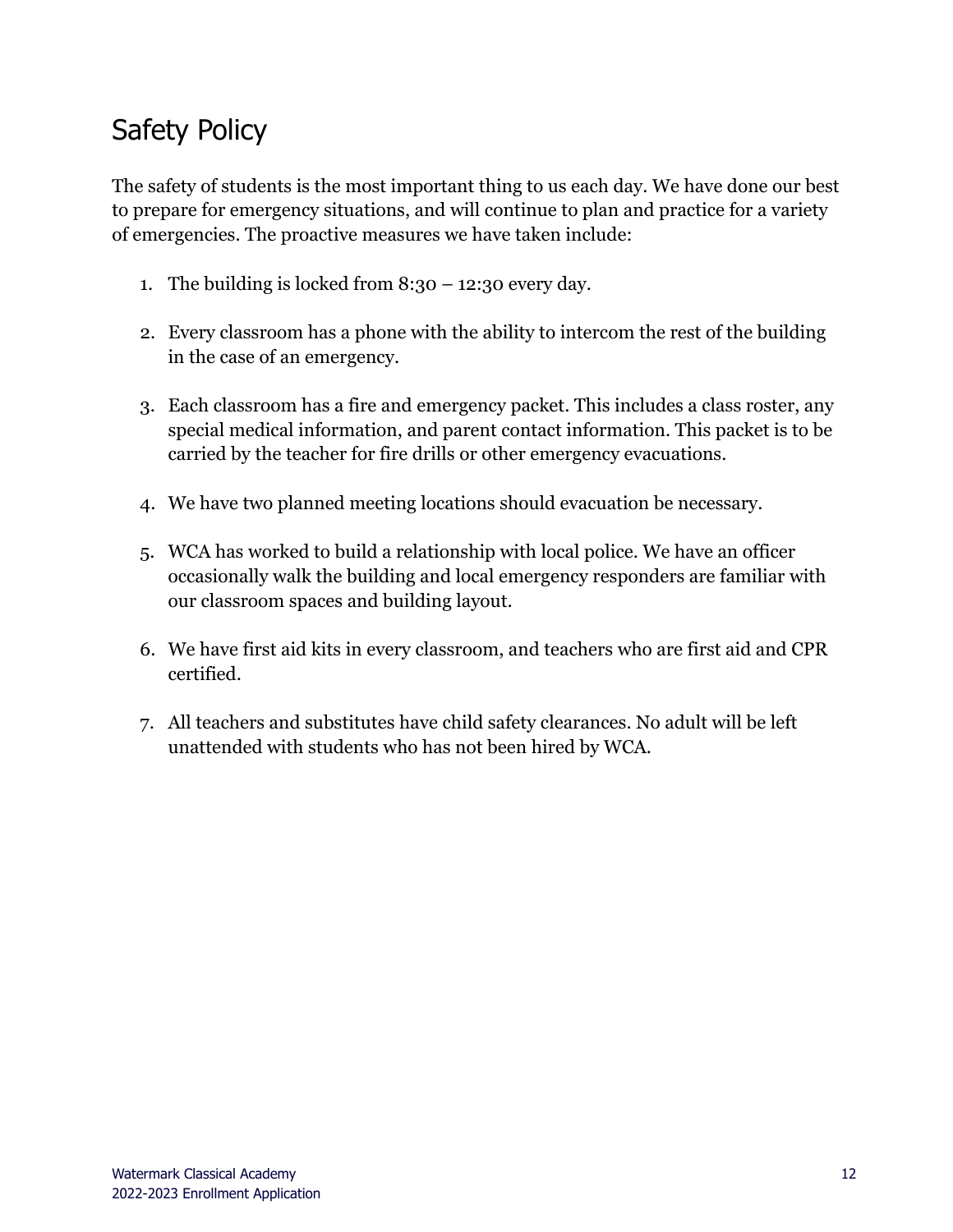### <span id="page-11-0"></span>Safety Policy

The safety of students is the most important thing to us each day. We have done our best to prepare for emergency situations, and will continue to plan and practice for a variety of emergencies. The proactive measures we have taken include:

- 1. The building is locked from  $8:30 12:30$  every day.
- 2. Every classroom has a phone with the ability to intercom the rest of the building in the case of an emergency.
- 3. Each classroom has a fire and emergency packet. This includes a class roster, any special medical information, and parent contact information. This packet is to be carried by the teacher for fire drills or other emergency evacuations.
- 4. We have two planned meeting locations should evacuation be necessary.
- 5. WCA has worked to build a relationship with local police. We have an officer occasionally walk the building and local emergency responders are familiar with our classroom spaces and building layout.
- 6. We have first aid kits in every classroom, and teachers who are first aid and CPR certified.
- 7. All teachers and substitutes have child safety clearances. No adult will be left unattended with students who has not been hired by WCA.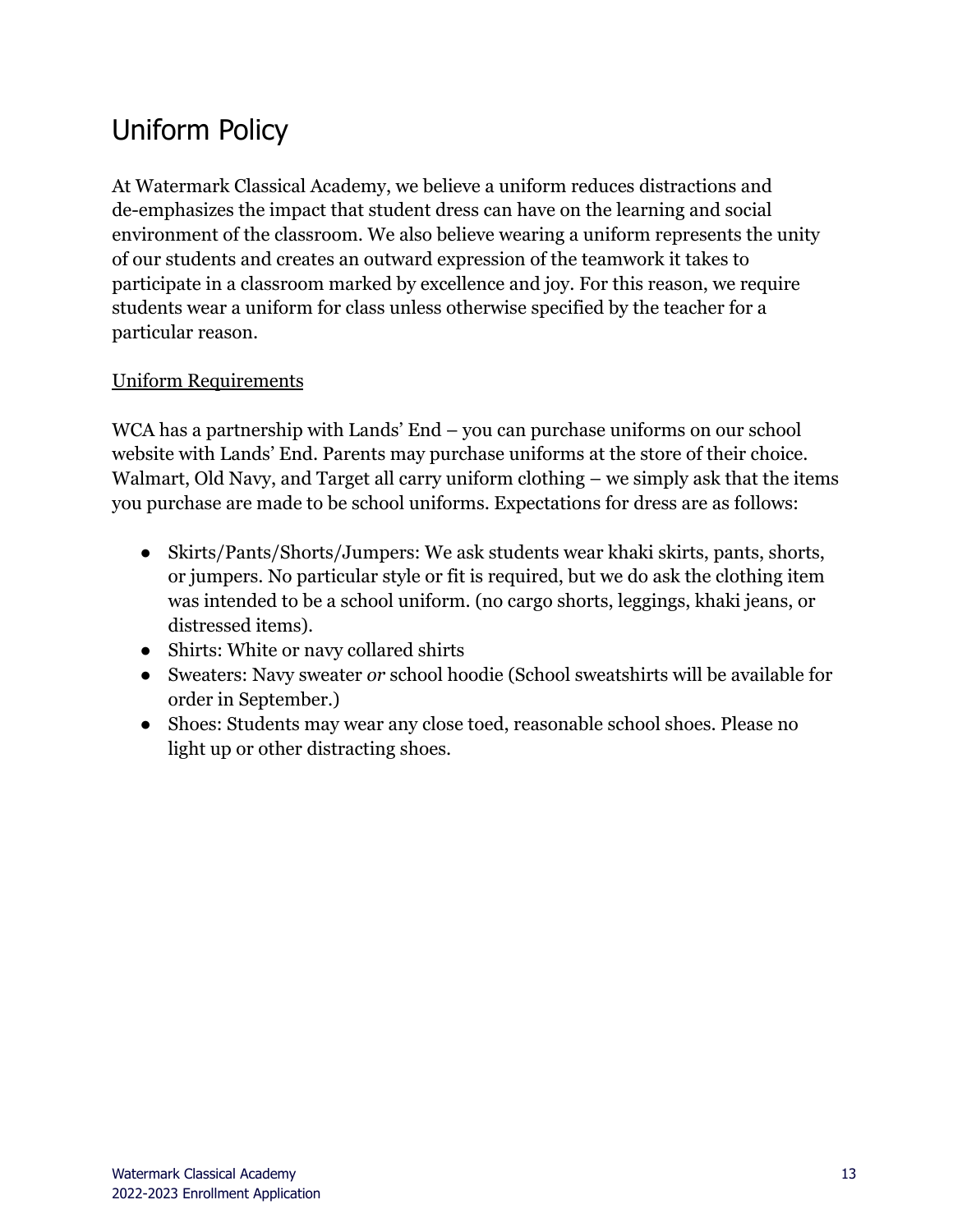### <span id="page-12-0"></span>Uniform Policy

At Watermark Classical Academy, we believe a uniform reduces distractions and de-emphasizes the impact that student dress can have on the learning and social environment of the classroom. We also believe wearing a uniform represents the unity of our students and creates an outward expression of the teamwork it takes to participate in a classroom marked by excellence and joy. For this reason, we require students wear a uniform for class unless otherwise specified by the teacher for a particular reason.

#### Uniform Requirements

WCA has a partnership with Lands' End – you can purchase uniforms on our school website with Lands' End. Parents may purchase uniforms at the store of their choice. Walmart, Old Navy, and Target all carry uniform clothing – we simply ask that the items you purchase are made to be school uniforms. Expectations for dress are as follows:

- Skirts/Pants/Shorts/Jumpers: We ask students wear khaki skirts, pants, shorts, or jumpers. No particular style or fit is required, but we do ask the clothing item was intended to be a school uniform. (no cargo shorts, leggings, khaki jeans, or distressed items).
- Shirts: White or navy collared shirts
- Sweaters: Navy sweater *or* school hoodie (School sweatshirts will be available for order in September.)
- Shoes: Students may wear any close toed, reasonable school shoes. Please no light up or other distracting shoes.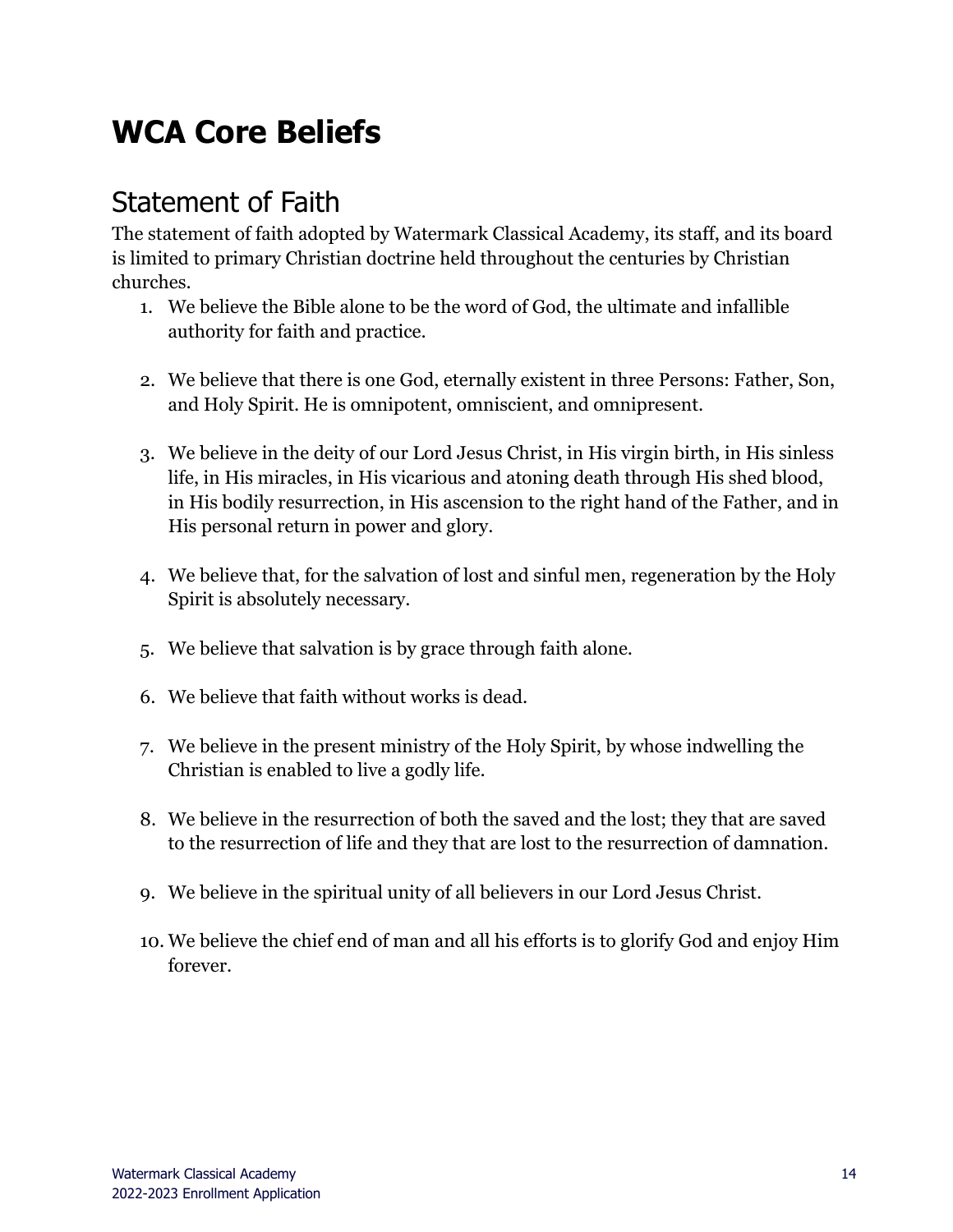# <span id="page-13-0"></span>**WCA Core Beliefs**

#### <span id="page-13-1"></span>Statement of Faith

The statement of faith adopted by Watermark Classical Academy, its staff, and its board is limited to primary Christian doctrine held throughout the centuries by Christian churches.

- 1. We believe the Bible alone to be the word of God, the ultimate and infallible authority for faith and practice.
- 2. We believe that there is one God, eternally existent in three Persons: Father, Son, and Holy Spirit. He is omnipotent, omniscient, and omnipresent.
- 3. We believe in the deity of our Lord Jesus Christ, in His virgin birth, in His sinless life, in His miracles, in His vicarious and atoning death through His shed blood, in His bodily resurrection, in His ascension to the right hand of the Father, and in His personal return in power and glory.
- 4. We believe that, for the salvation of lost and sinful men, regeneration by the Holy Spirit is absolutely necessary.
- 5. We believe that salvation is by grace through faith alone.
- 6. We believe that faith without works is dead.
- 7. We believe in the present ministry of the Holy Spirit, by whose indwelling the Christian is enabled to live a godly life.
- 8. We believe in the resurrection of both the saved and the lost; they that are saved to the resurrection of life and they that are lost to the resurrection of damnation.
- 9. We believe in the spiritual unity of all believers in our Lord Jesus Christ.
- 10. We believe the chief end of man and all his efforts is to glorify God and enjoy Him forever.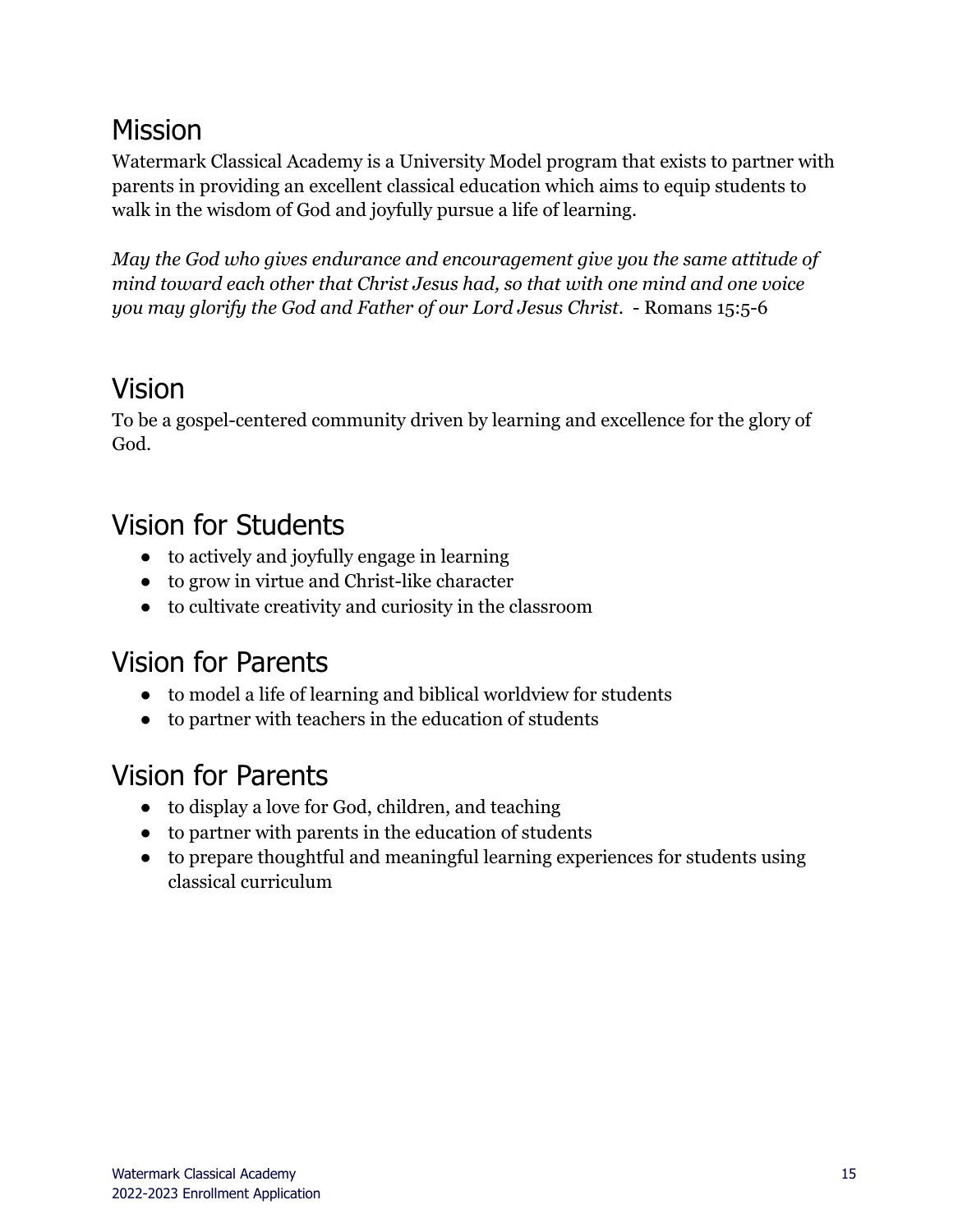#### <span id="page-14-0"></span>Mission

Watermark Classical Academy is a University Model program that exists to partner with parents in providing an excellent classical education which aims to equip students to walk in the wisdom of God and joyfully pursue a life of learning.

*May the God who gives endurance and encouragement give you the same attitude of mind toward each other that Christ Jesus had, so that with one mind and one voice you may glorify the God and Father of our Lord Jesus Christ.* - Romans 15:5-6

#### <span id="page-14-1"></span>Vision

To be a gospel-centered community driven by learning and excellence for the glory of God.

### <span id="page-14-2"></span>Vision for Students

- to actively and joyfully engage in learning
- to grow in virtue and Christ-like character
- to cultivate creativity and curiosity in the classroom

#### <span id="page-14-3"></span>Vision for Parents

- to model a life of learning and biblical worldview for students
- to partner with teachers in the education of students

### <span id="page-14-4"></span>Vision for Parents

- to display a love for God, children, and teaching
- to partner with parents in the education of students
- to prepare thoughtful and meaningful learning experiences for students using classical curriculum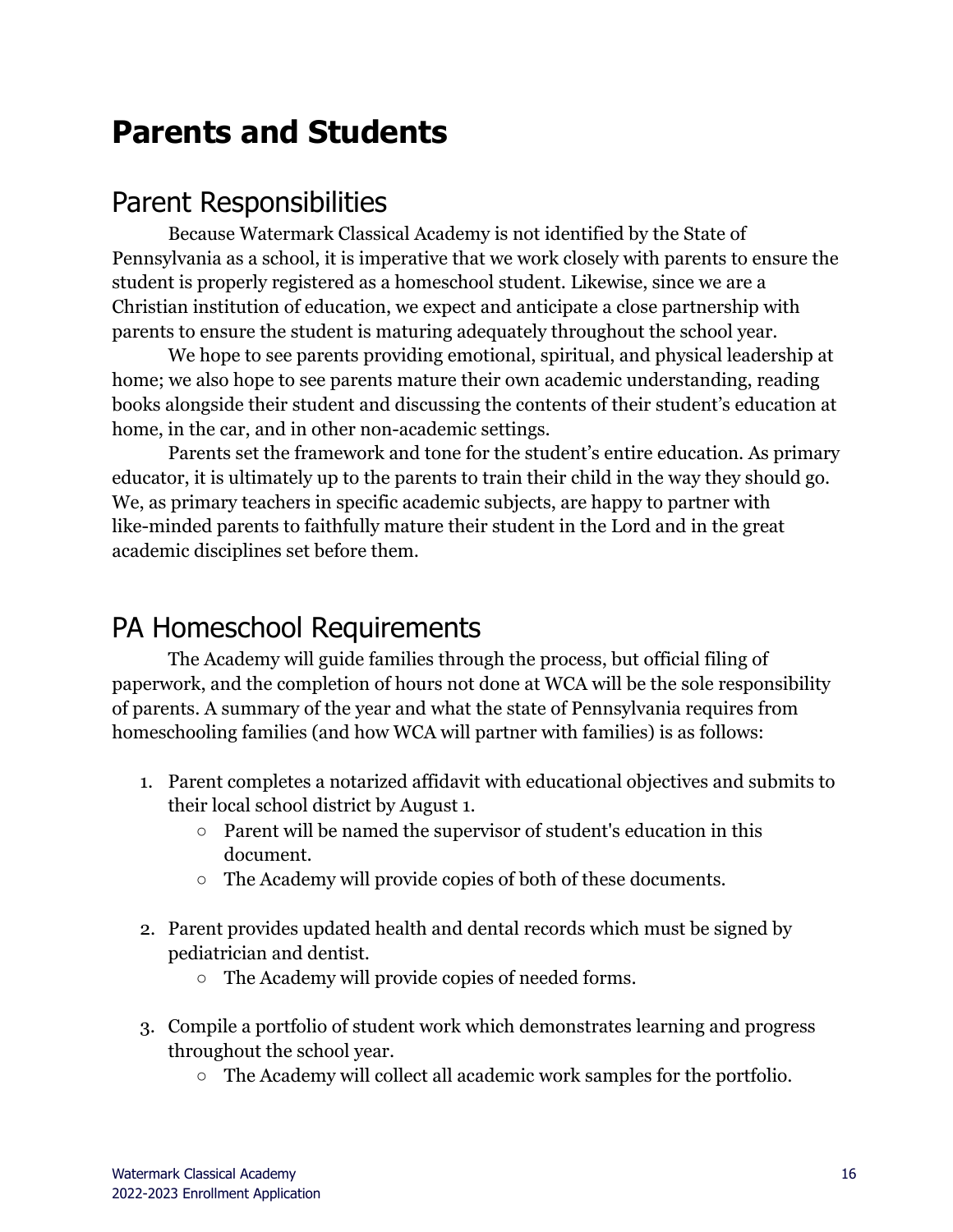### <span id="page-15-0"></span>**Parents and Students**

#### <span id="page-15-1"></span>Parent Responsibilities

Because Watermark Classical Academy is not identified by the State of Pennsylvania as a school, it is imperative that we work closely with parents to ensure the student is properly registered as a homeschool student. Likewise, since we are a Christian institution of education, we expect and anticipate a close partnership with parents to ensure the student is maturing adequately throughout the school year.

We hope to see parents providing emotional, spiritual, and physical leadership at home; we also hope to see parents mature their own academic understanding, reading books alongside their student and discussing the contents of their student's education at home, in the car, and in other non-academic settings.

Parents set the framework and tone for the student's entire education. As primary educator, it is ultimately up to the parents to train their child in the way they should go. We, as primary teachers in specific academic subjects, are happy to partner with like-minded parents to faithfully mature their student in the Lord and in the great academic disciplines set before them.

#### <span id="page-15-2"></span>PA Homeschool Requirements

The Academy will guide families through the process, but official filing of paperwork, and the completion of hours not done at WCA will be the sole responsibility of parents. A summary of the year and what the state of Pennsylvania requires from homeschooling families (and how WCA will partner with families) is as follows:

- 1. Parent completes a notarized affidavit with educational objectives and submits to their local school district by August 1.
	- Parent will be named the supervisor of student's education in this document.
	- The Academy will provide copies of both of these documents.
- 2. Parent provides updated health and dental records which must be signed by pediatrician and dentist.
	- The Academy will provide copies of needed forms.
- 3. Compile a portfolio of student work which demonstrates learning and progress throughout the school year.
	- The Academy will collect all academic work samples for the portfolio.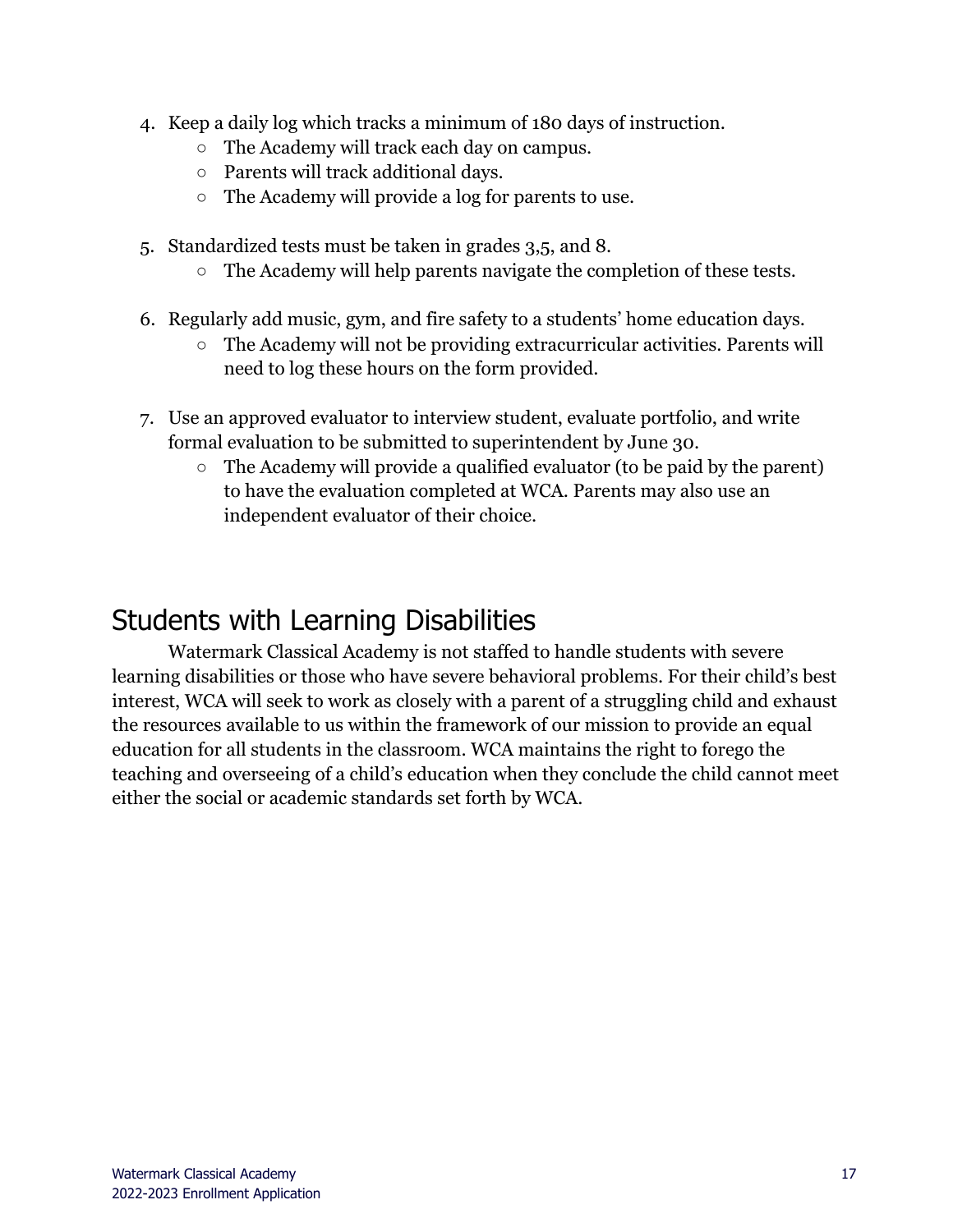- 4. Keep a daily log which tracks a minimum of 180 days of instruction.
	- The Academy will track each day on campus.
	- Parents will track additional days.
	- The Academy will provide a log for parents to use.
- 5. Standardized tests must be taken in grades 3,5, and 8.
	- The Academy will help parents navigate the completion of these tests.
- 6. Regularly add music, gym, and fire safety to a students' home education days.
	- The Academy will not be providing extracurricular activities. Parents will need to log these hours on the form provided.
- 7. Use an approved evaluator to interview student, evaluate portfolio, and write formal evaluation to be submitted to superintendent by June 30.
	- $\circ$  The Academy will provide a qualified evaluator (to be paid by the parent) to have the evaluation completed at WCA. Parents may also use an independent evaluator of their choice.

#### <span id="page-16-0"></span>Students with Learning Disabilities

Watermark Classical Academy is not staffed to handle students with severe learning disabilities or those who have severe behavioral problems. For their child's best interest, WCA will seek to work as closely with a parent of a struggling child and exhaust the resources available to us within the framework of our mission to provide an equal education for all students in the classroom. WCA maintains the right to forego the teaching and overseeing of a child's education when they conclude the child cannot meet either the social or academic standards set forth by WCA.